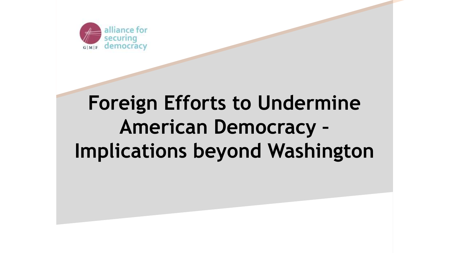

# **Foreign Efforts to Undermine American Democracy – Implications beyond Washington**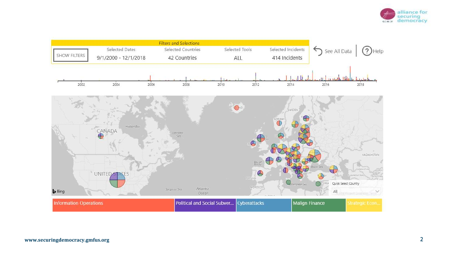

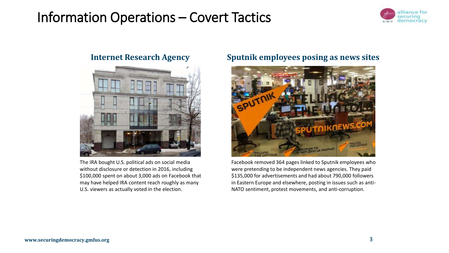## Information Operations – Covert Tactics





The IRA bought U.S. political ads on social media without disclosure or detection in 2016, including \$100,000 spent on about 3,000 ads on Facebook that may have helped IRA content reach roughly as many U.S. viewers as actually voted in the election.

### **Internet Research Agency Sputnik employees posing as news sites**



Facebook removed 364 pages linked to Sputnik employees who were pretending to be independent news agencies. They paid \$135,000 for advertisements and had about 790,000 followers in Eastern Europe and elsewhere, posting in issues such as anti-NATO sentiment, protest movements, and anti-corruption.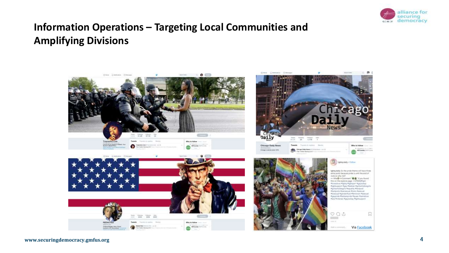

### **Information Operations – Targeting Local Communities and Amplifying Divisions**

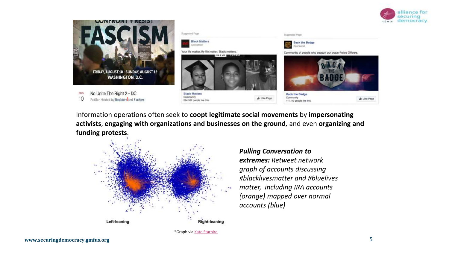



Information operations often seek to **coopt legitimate social movements** by **impersonating activists**, **engaging with organizations and businesses on the ground**, and even **organizing and funding protests**.



*Pulling Conversation to extremes: Retweet network graph of accounts discussing #blacklivesmatter and #bluelives matter, including IRA accounts (orange) mapped over normal accounts (blue)*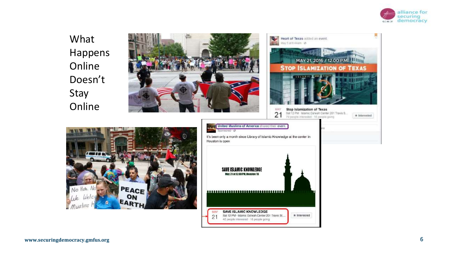

Ы

What Happens Online Doesn't Stay Online



No Hote, No

 $Mus$ lims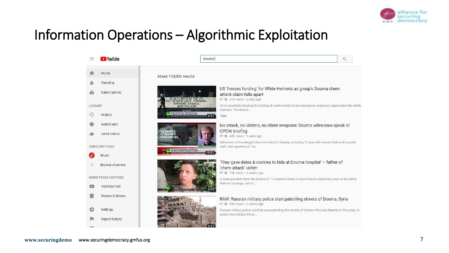

## Information Operations – Algorithmic Exploitation

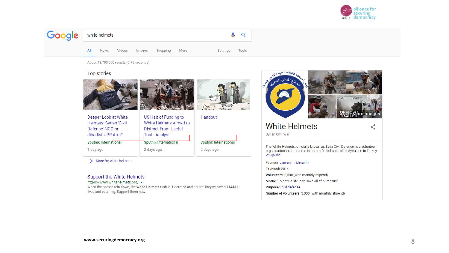

<゚



About 43,700,000 results (0.76 seconds)

#### **Top stories**







Handout

2 days ago

Sputnik International



 $\rightarrow$  More for white helmets

#### Support the White Helmets

https://www.whitehelmets.org/ •

When the bombs rain down, the White Helmets rush in. Unarmed and neutral they've saved 114431+ lives and counting. Support them now.



### **White Helmets**

Syrian Civil War

The White Helmets, officially known as Syria Civil Defence, is a volunteer organisation that operates in parts of rebel-controlled Syria and in Turkey. Wikipedia

#### Founder: James Le Mesurier

**Founded: 2014** 

Volunteers: 3,000 (with monthly stipend)

Motto: "To save a life is to save all of humanity."

#### Purpose: Civil defense

Number of volunteers: 3,000 (with monthly stipend)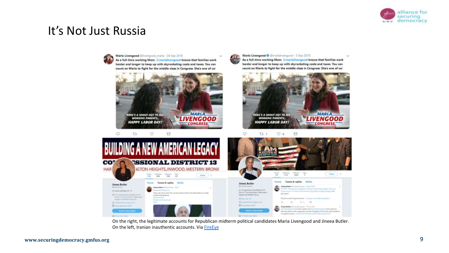

### It's Not Just Russia



On the right, the legitimate accounts for Republican midterm political candidates Maria Livengood and Jineea Butler. On the left, Iranian inauthentic accounts. Via [FireEye](https://www.fireeye.com/blog/threat-research/2019/05/social-media-network-impersonates-us-political-candidates-supports-iranian-interests.html)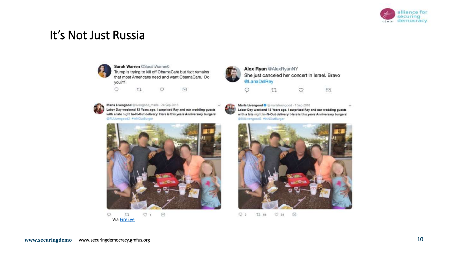

### It's Not Just Russia



#### Sarah Warren @SarahWarren0 Trump is trying to kill off ObamaCare but fact remains that most Americans need and want ObamaCare. Do you??





#### Marla Livengood @livengood\_marla - 24 Sep 2018

Labor Day weekend 13 Years ago. I surprised Ray and our wedding guests with a late night In-N-Out delivery! Here is this years Anniversary burgers! @RULivengood2 #InNOutBurger







Alex Ryan @AlexRyanNY She just canceled her concert in Israel. Bravo @LanaDelRey ⊠  $17$ O O



#### Marla Livengood O @marlalivengood - 1 Sep 2018

Labor Day weekend 13 Years ago. I surprised Ray and our wedding guests with a late night In-N-Out delivery! Here is this years Anniversary burgers! @RULivengood2 #InNOutBurger



 $O<sub>2</sub>$  $t1110$  $O$  34  $\Box$